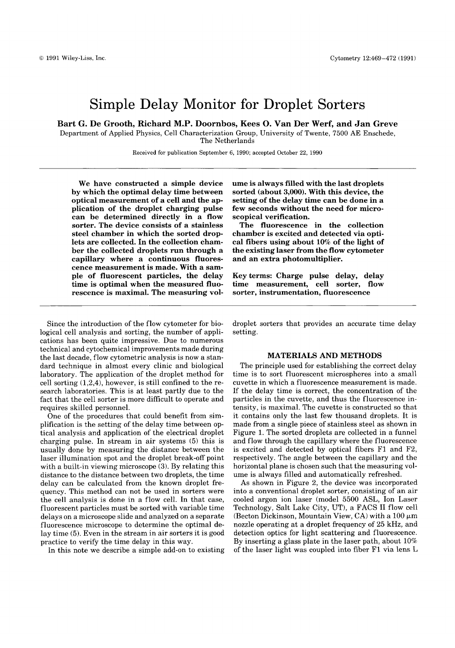# Simple Delay Monitor for Droplet Sorters

**Bart G. De Grooth, Richard M.P. Doornbos, Kees 0. Van Der Werf, and Jan Greve** 

Department of Applied Physics, Cell Characterization Group, University of Twente, 7500 **AE** Enschede, The Netherlands

Received for publication September 6, 1990; accepted October 22, 1990 -

We have constructed a simple device by which the optimal delay time between optical measurement of **a** cell and the application of the droplet charging pulse can be determined directly in a flow sorter. The device consists of a stainless steel chamber in which the sorted droplets are collected. In the collection chamber the collected droplets run through a capillary where a continuous fluorescence measurement is made. With a sample of fluorescent particles, the delay time is optimal when the measured fluorescence is maximal. The measuring volume is always filled with the last droplets sorted (about 3,000). With this device, the setting of the delay time can be done in a few seconds without the need for microscopical verification.

The fluorescence in the collection chamber is excited and detected via optical fibers using about 10% of the light of the existing laser from the flow cytometer and an extra photomultiplier.

Key terms: Charge pulse delay, delay time measurement, cell sorter, flow sorter, instrumentation, fluorescence

Since the introduction of the flow cytometer for biological cell analysis and sorting, the number of applications has been quite impressive. Due to numerous technical and cytochemical improvements made during the last decade, flow cytometric analysis is now a standard technique in almost every clinic and biological laboratory. The application of the droplet method for cell sorting **(1,2,4),** however, is still confined to the research laboratories. This is at least partly due to the fact that the cell sorter is more difficult to operate and requires skilled personnel.

One of the procedures that could benefit from simplification is the setting of the delay time between optical analysis and application of the electrical droplet charging pulse. In stream in air systems (5) this is usually done by measuring the distance between the laser illumination spot and the droplet break-off point with a built-in viewing microscope **(3).** By relating this distance to the distance between two droplets, the time delay can be calculated from the known droplet frequency. This method can not be used in sorters were the cell analysis is done in a flow cell. In that case, fluorescent particles must be sorted with variable time delays on a microscope slide and analyzed on a separate fluorescence microscope to determine the optimal delay time (5). Even in the stream in air sorters it is good practice to verify the time delay in this way.

In this note we describe a simple add-on to existing

droplet sorters that provides an accurate time delay setting.

### MATERIALS AND METHODS

The principle used for establishing the correct delay time is to sort fluorescent microspheres into a small cuvette in which a fluorescence measurement is made. If the delay time is correct, the concentration of the particles in the cuvette, and thus the fluorescence intensity, is maximal. The cuvette is constructed so that it contains only the last few thousand droplets. It is made from a single piece of stainless steel as shown in Figure 1. The sorted droplets are collected in a funnel and flow through the capillary where the fluorescence is excited and detected by optical fibers F1 and F2, respectively. The angle between the capillary and the horizontal plane is chosen such that the measuring volume is always filled and automatically refreshed.

As shown in Figure 2, the device was incorporated into a conventional droplet sorter, consisting of an air cooled argon ion laser (model 5500 ASL, Ion Laser Technology, Salt Lake City, UT), a FACS I1 flow cell (Becton Dickinson, Mountain View, CA) with a  $100 \mu m$ nozzle operating at a droplet frequency of 25 kHz, and detection optics for light scattering and fluorescence. By inserting a glass plate in the laser path, about 10% of the laser light was coupled into fiber F1 via lens L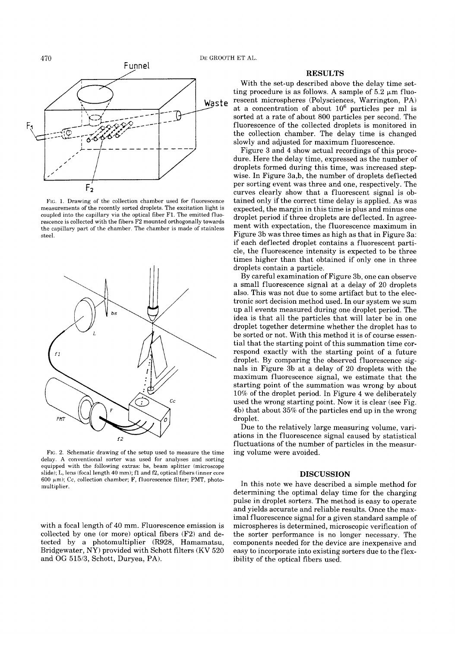

FIG. 1. Drawing of the collection chamber used for fluorescence measurements of the recently sorted droplets. The excitation light is coupled into the capillary via the optical fiber F1. The emitted fluorescence is collected with the fibers F2 mounted orthogonally towards the capillary part of the chamber. The chamber is made of stainless steel.



FIG. 2. Schematic drawing of the setup used to measure the time delay. **A** conventional sorter was used for analyses and sorting equipped with the following extras: bs, beam splitter (microscope slide); L, lens (focal length 40 mm); fl and f2, optical fibers (inner core 600  $\mu$ m); Cc, collection chamber; F, fluorescence filter; PMT, photomultiplier.

with a focal length of 40 mm. Fluorescence emission is collected by one (or more) optical fibers (F2) and detected by a photomultiplier (R928, Hamamatsu, Bridgewater, NY) provided with Schott filters (KV 520 and OG 515/3, Schott, Duryea, PA).

# **RESULTS**

With the set-up described above the delay time setting procedure is as follows. A sample of  $5.2 \mu m$  fluorescent microspheres (Polysciences, Warrington, **PA)**  at a concentration of about  $10^6$  particles per ml is sorted at a rate of about 800 particles per second. The fluorescence of the collected droplets is monitored in the collection chamber. The delay time is changed slowly and adjusted for maximum fluorescence.

Figure 3 and **4** show actual recordings of this procedure. Here the delay time, expressed as the number of droplets formed during this time, was increased stepwise. In Figure 3a,b, the number of droplets deflected per sorting event was three and one, respectively. The curves clearly show that a fluorescent signal is obtained only if the correct time delay is applied. As was expected, the margin in this time is plus and minus one droplet period if three droplets are deflected. In agreement with expectation, the fluorescence maximum in Figure 3b was three times as high as that in Figure 3a: if each deflected droplet contains a fluorescent particle, the fluorescence intensity is expected to be three times higher than that obtained if only one in three droplets contain a particle.

By careful examination of Figure 3b, one can observe a small fluorescence signal at a delay of 20 droplets also. This was not due to some artifact but to the electronic sort decision method used. In our system we sum up all events measured during one droplet period. The idea is that all the particles that will later be in one droplet together determine whether the droplet has to be sorted or not. With this method it is of course essential that the starting point of this summation time correspond exactly with the starting point of a future droplet. By comparing the observed fluorescence signals in Figure 3b at a delay of 20 droplets with the maximum fluorescence signal, we estimate that the starting point of the summation was wrong by about 10% of the droplet period. In Figure **4** we deliberately used the wrong starting point. Now it is clear (see Fig. **4b)** that about 35% of the particles end up in the wrong droplet.

Due to the relatively large measuring volume, variations in the fluorescence signal caused by statistical fluctuations of the number of particles in the measuring volume were avoided.

#### **DISCUSSION**

In this note we have described a simple method for determining the optimal delay time for the charging pulse in droplet sorters. The method is easy to operate and yields accurate and reliable results. Once the maximal fluorescence signal for a given standard sample of microspheres is determined, microscopic verification of the sorter performance is no longer necessary. The components needed for the device are inexpensive and easy to incorporate into existing sorters due to the flexibility of the optical fibers used.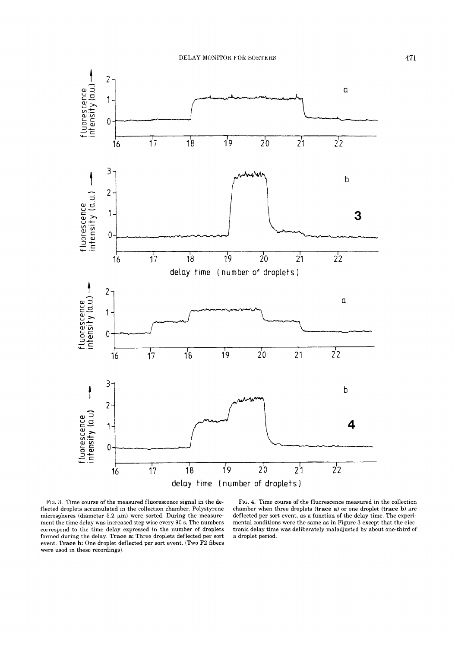

FIG. **3.** Time course of the measured fluorescence signal in the deflected droplets accumulated in the collection chamber. Polystyrene microspheres (diameter 5.2  $\mu$ m) were sorted. During the measurement the time delay was increased step wise every 90 s. The numbers correspond to the time delay expressed in the number of droplets formed during the delay. **Trace a:** Three droplets deflected per sort event. **Trace b:** One droplet deflected per sort event. (Two F2 fibers were used in these recordings).

**FIG. 4.** Time course of the fluorescence measured in the collection chamber when three droplets **(trace a)** or one droplet **(trace b)** are deflected per sort event, as **a** function of the delay time. The experimental conditions were the same as in Figure **3** except that the electronic delay time was deliberately maladjusted by about one-third of a droplet period.